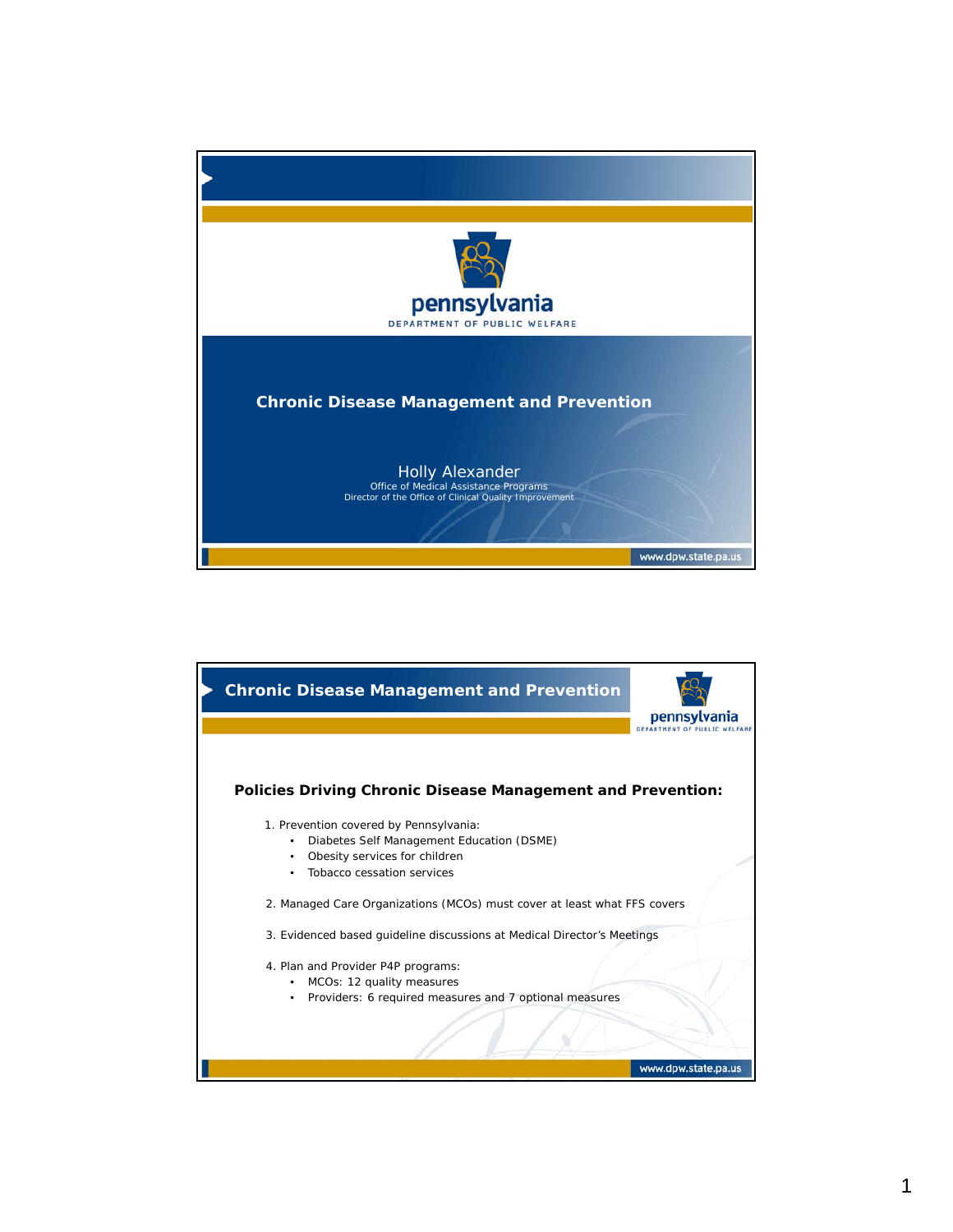